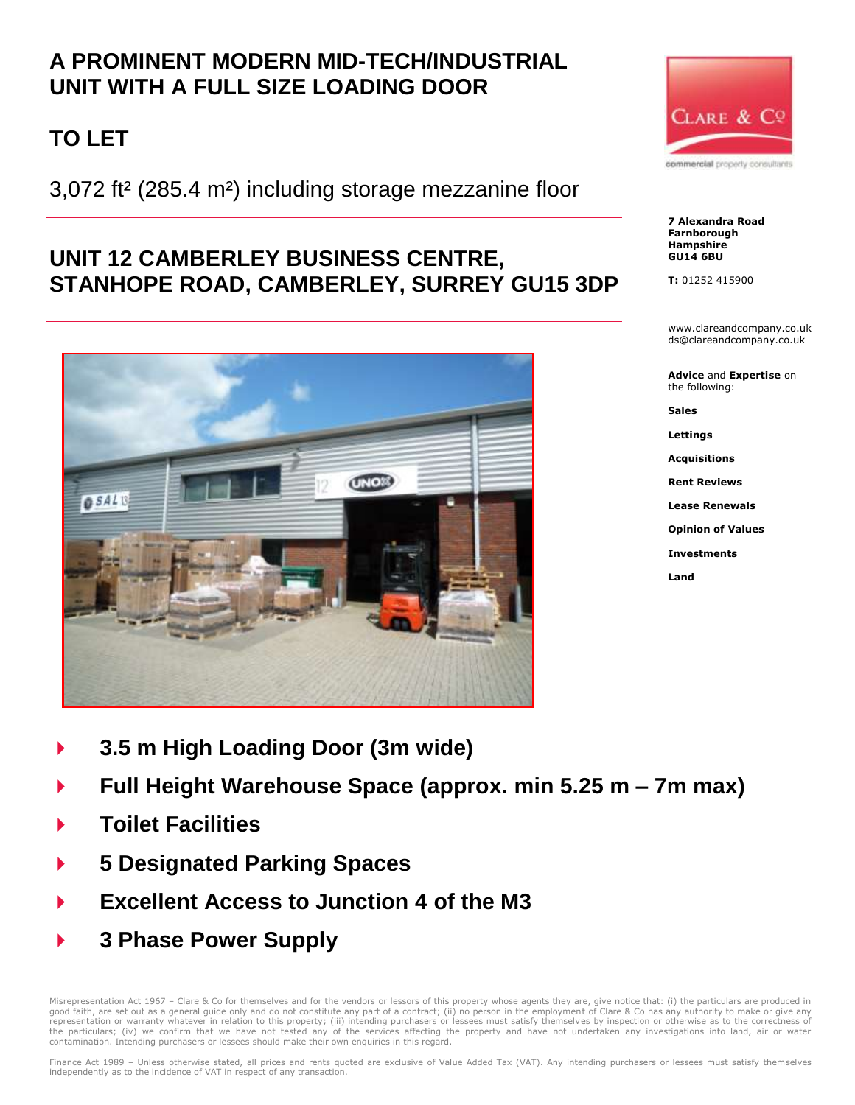# **A PROMINENT MODERN MID-TECH/INDUSTRIAL UNIT WITH A FULL SIZE LOADING DOOR**

# **TO LET**

3,072 ft² (285.4 m²) including storage mezzanine floor

## **UNIT 12 CAMBERLEY BUSINESS CENTRE, STANHOPE ROAD, CAMBERLEY, SURREY GU15 3DP**



CLARE & CQ commercial property consultants

**7 Alexandra Road Farnborough Hampshire GU14 6BU**

**T:** 01252 415900

www.clareandcompany.co.uk ds@clareandcompany.co.uk

**Advice** and **Expertise** on the following:

**Sales**

**Lettings**

**Acquisitions**

**Rent Reviews**

**Lease Renewals**

**Opinion of Values**

**Investments**

**Land**

- **3.5 m High Loading Door (3m wide)**
- **Full Height Warehouse Space (approx. min 5.25 m – 7m max)**
- **Toilet Facilities**
- **5 Designated Parking Spaces**
- **Excellent Access to Junction 4 of the M3**
- **3 Phase Power Supply**

Misrepresentation Act 1967 – Clare & Co for themselves and for the vendors or lessors of this property whose agents they are, give notice that: (i) the particulars are produced in<br>good faith, are set out as a general guide the particulars; (iv) we confirm that we have not tested any of the services affecting the property and have not undertaken any investigations into land, air or water contamination. Intending purchasers or lessees should make their own enquiries in this regard.

Finance Act 1989 – Unless otherwise stated, all prices and rents quoted are exclusive of Value Added Tax (VAT). Any intending purchasers or lessees must satisfy themselves independently as to the incidence of VAT in respect of any transaction.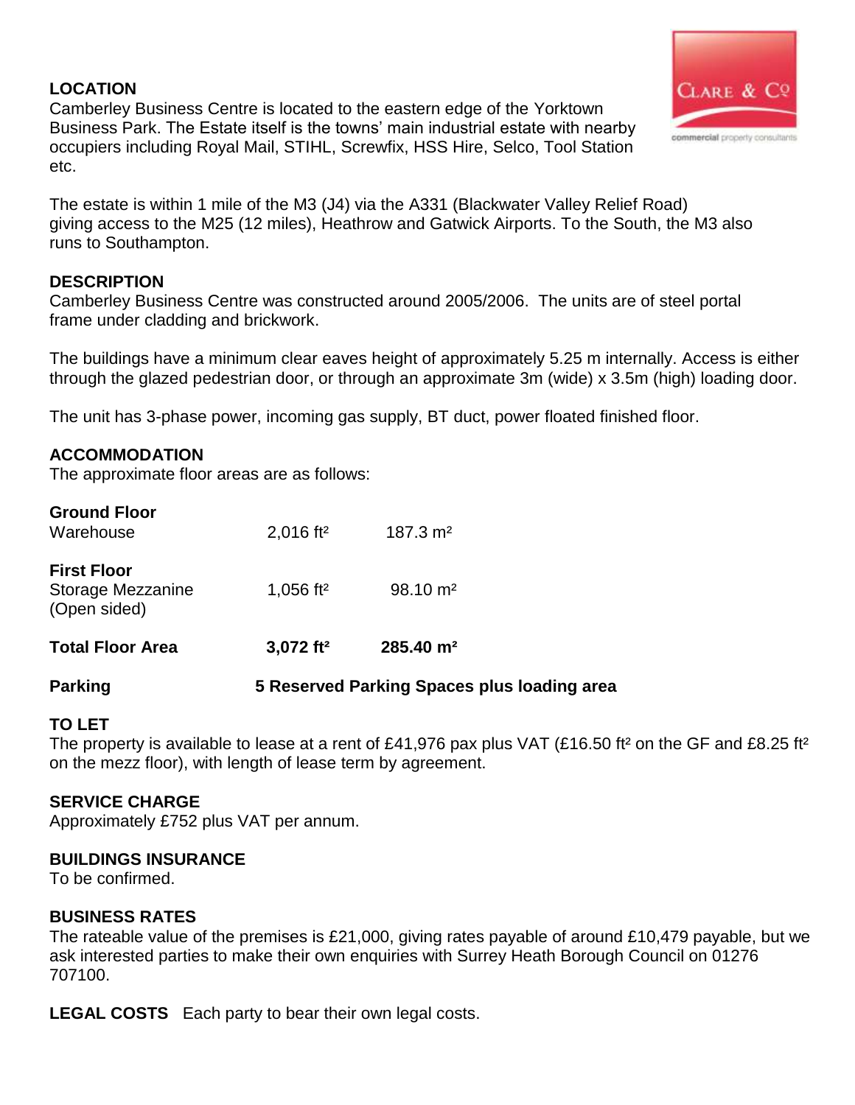### **LOCATION**

Camberley Business Centre is located to the eastern edge of the Yorktown Business Park. The Estate itself is the towns' main industrial estate with nearby occupiers including Royal Mail, STIHL, Screwfix, HSS Hire, Selco, Tool Station etc.



#### **DESCRIPTION**

Camberley Business Centre was constructed around 2005/2006. The units are of steel portal frame under cladding and brickwork.

The buildings have a minimum clear eaves height of approximately 5.25 m internally. Access is either through the glazed pedestrian door, or through an approximate 3m (wide) x 3.5m (high) loading door.

The unit has 3-phase power, incoming gas supply, BT duct, power floated finished floor.

#### **ACCOMMODATION**

The approximate floor areas are as follows:

| <b>Ground Floor</b><br>Warehouse                        | $2,016$ ft <sup>2</sup> | $187.3 \text{ m}^2$    |
|---------------------------------------------------------|-------------------------|------------------------|
| <b>First Floor</b><br>Storage Mezzanine<br>(Open sided) | 1,056 ft <sup>2</sup>   | $98.10 \text{ m}^2$    |
| <b>Total Floor Area</b>                                 | $3,072$ ft <sup>2</sup> | $285.40 \; \text{m}^2$ |

#### **Parking 5 Reserved Parking Spaces plus loading area**

#### **TO LET**

The property is available to lease at a rent of £41,976 pax plus VAT (£16.50 ft<sup>2</sup> on the GF and £8.25 ft<sup>2</sup> on the mezz floor), with length of lease term by agreement.

#### **SERVICE CHARGE**

Approximately £752 plus VAT per annum.

#### **BUILDINGS INSURANCE**

To be confirmed.

#### **BUSINESS RATES**

The rateable value of the premises is £21,000, giving rates payable of around £10,479 payable, but we ask interested parties to make their own enquiries with Surrey Heath Borough Council on 01276 707100.

**LEGAL COSTS** Each party to bear their own legal costs.